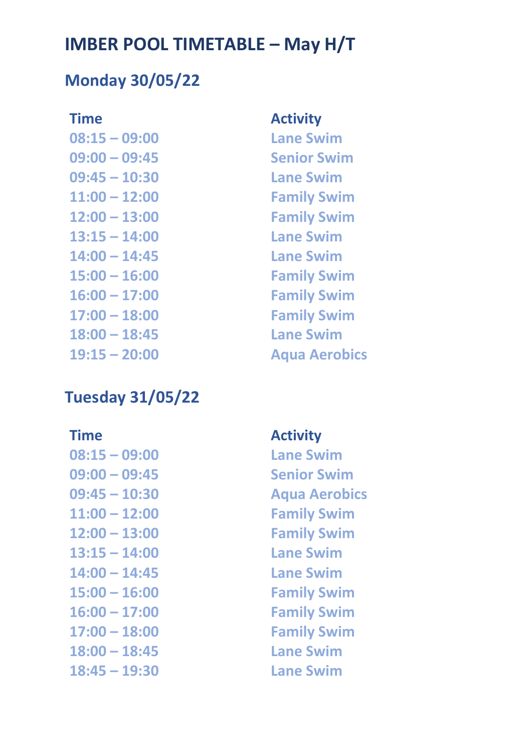## **Monday 30/05/22**

**08:15 – 09:00 Lane Swim 09:00 – 09:45 Senior Swim 09:45 – 10:30 Lane Swim 11:00 – 12:00 Family Swim 12:00 – 13:00 Family Swim 13:15 – 14:00 Lane Swim 14:00 – 14:45 Lane Swim 15:00 – 16:00 Family Swim 16:00 – 17:00 Family Swim 17:00 – 18:00 Family Swim 18:00 – 18:45 Lane Swim 19:15 – 20:00 Aqua Aerobics** 

## **Tuesday 31/05/22**

**08:15 – 09:00 Lane Swim 09:00 – 09:45 Senior Swim 09:45 – 10:30 Aqua Aerobics 11:00 – 12:00 Family Swim 12:00 – 13:00 Family Swim 13:15 – 14:00 Lane Swim 14:00 – 14:45 Lane Swim 15:00 – 16:00 Family Swim 16:00 – 17:00 Family Swim 17:00 – 18:00 Family Swim 18:00 – 18:45 Lane Swim 18:45 – 19:30 Lane Swim**

### **Time Activity**

### **Time Activity**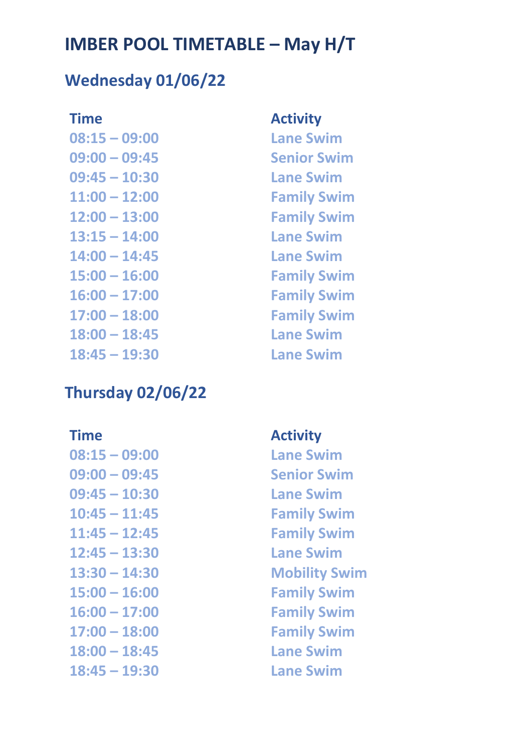## **Wednesday 01/06/22**

**08:15 – 09:00 Lane Swim 09:00 – 09:45 Senior Swim 09:45 – 10:30 Lane Swim 11:00 – 12:00 Family Swim 12:00 – 13:00 Family Swim 13:15 – 14:00 Lane Swim 14:00 – 14:45 Lane Swim 15:00 – 16:00 Family Swim 16:00 – 17:00 Family Swim 17:00 – 18:00 Family Swim 18:00 – 18:45 Lane Swim 18:45 – 19:30 Lane Swim** 

## **Thursday 02/06/22**

**08:15 – 09:00 Lane Swim 09:00 – 09:45 Senior Swim 09:45 – 10:30 Lane Swim 10:45 – 11:45 Family Swim 11:45 – 12:45 Family Swim 12:45 – 13:30 Lane Swim 15:00 – 16:00 Family Swim 16:00 – 17:00 Family Swim 17:00 – 18:00 Family Swim 18:00 – 18:45 Lane Swim 18:45 – 19:30 Lane Swim** 

### **Time Activity**

### **Time Activity**

**13:30 – 14:30 Mobility Swim**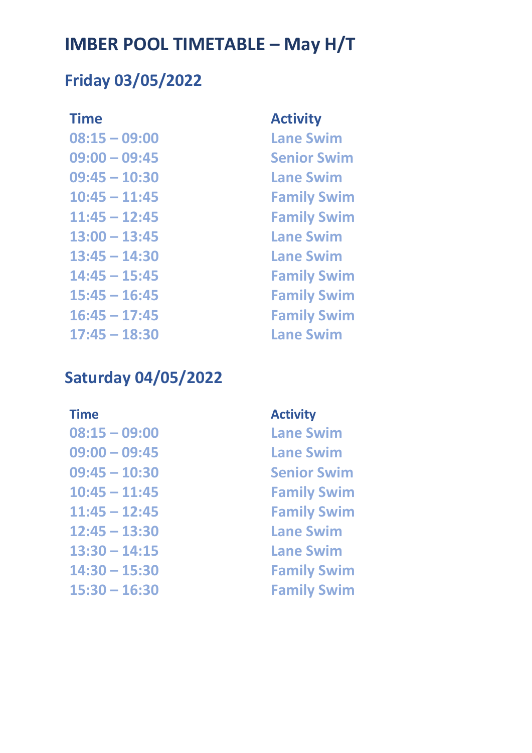## **Friday 03/05/2022**

**08:15 – 09:00 Lane Swim 09:00 – 09:45 Senior Swim 09:45 – 10:30 Lane Swim 10:45 – 11:45 Family Swim 11:45 – 12:45 Family Swim 13:00 – 13:45 Lane Swim 13:45 – 14:30 Lane Swim 14:45 – 15:45 Family Swim 15:45 – 16:45 Family Swim 16:45 – 17:45 Family Swim 17:45 – 18:30 Lane Swim** 

### **Time Activity**

## **Saturday 04/05/2022**

**09:00 – 09:45 Lane Swim 09:45 – 10:30 Senior Swim 10:45 – 11:45 Family Swim 11:45 – 12:45 Family Swim 12:45 – 13:30 Lane Swim 13:30 – 14:15 Lane Swim 14:30 – 15:30 Family Swim**

### **Time Activity**

**08:15 – 09:00 Lane Swim 15:30 – 16:30 Family Swim**